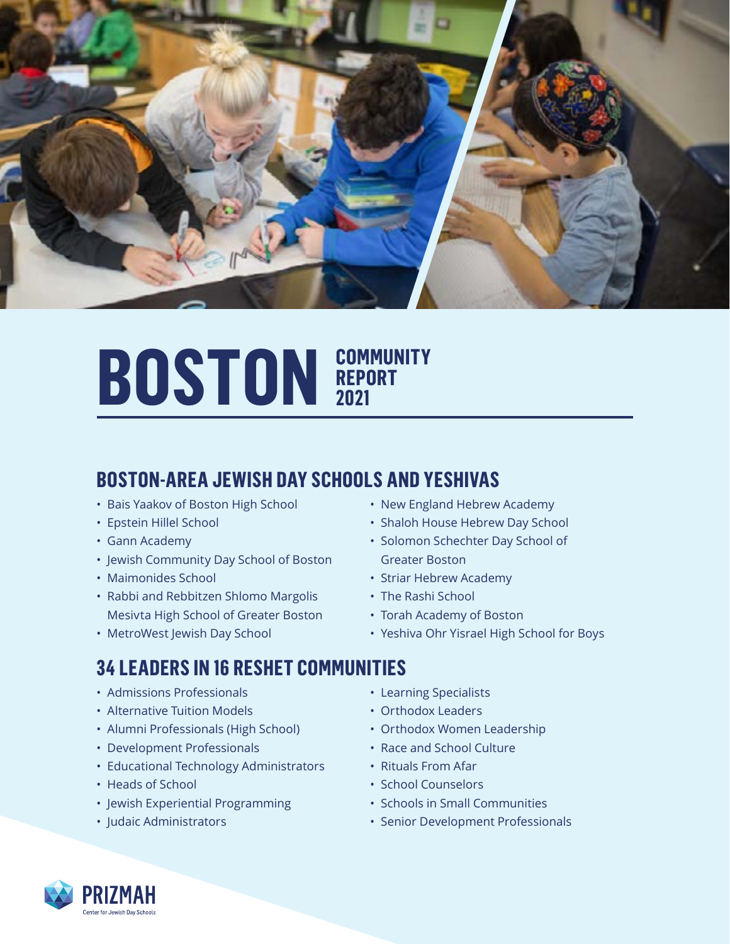

## **BOSTON REPORT REPORT 2021**

## **BOSTON-AREA JEWISH DAY SCHOOLS AND YESHIVAS**

- Bais Yaakov of Boston High School
- Epstein Hillel School
- Gann Academy
- Jewish Community Day School of Boston
- Maimonides School
- Rabbi and Rebbitzen Shlomo Margolis Mesivta High School of Greater Boston
- MetroWest Jewish Day School
- New England Hebrew Academy
- Shaloh House Hebrew Day School
- Solomon Schechter Day School of Greater Boston
- Striar Hebrew Academy
- The Rashi School
- Torah Academy of Boston
- Yeshiva Ohr Yisrael High School for Boys

#### **34 LEADERS IN 16 RESHET COMMUNITIES**

- Admissions Professionals
- Alternative Tuition Models
- Alumni Professionals (High School)
- Development Professionals
- Educational Technology Administrators
- Heads of School
- Jewish Experiential Programming
- Judaic Administrators
- Learning Specialists
- Orthodox Leaders
- Orthodox Women Leadership
- Race and School Culture
- Rituals From Afar
- School Counselors
- Schools in Small Communities
- Senior Development Professionals